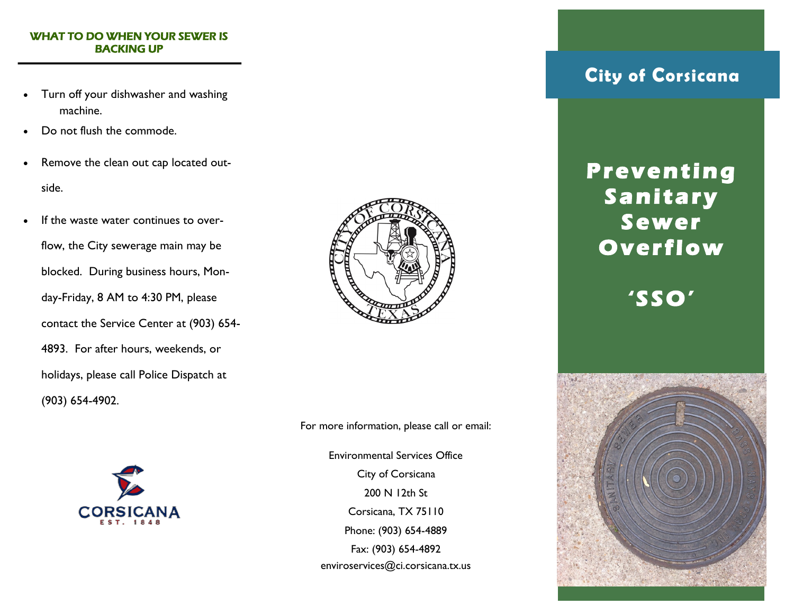#### WHAT TO DO WHEN YOUR SEWER IS BACKING UP

- Turn off your dishwasher and washing machine.
- Do not flush the commode.
- Remove the clean out cap located outside.
- If the waste water continues to overflow, the City sewerage main may be blocked. During business hours, Monday-Friday, 8 AM to 4:30 PM, please contact the Service Center at (903) 654- 4893. For after hours, weekends, or holidays, please call Police Dispatch at (903) 654-4902.





For more information, please call or email:

Environmental Services Office City of Corsicana 200 N 12th St Corsicana, TX 75110 Phone: (903) 654-4889 Fax: (903) 654-4892 enviroservices@ci.corsicana.tx.us

### **City of Corsicana**

## **P r e v e nt in g S a n it a r y S e w er O v e r fl o w**

## **' S SO '**